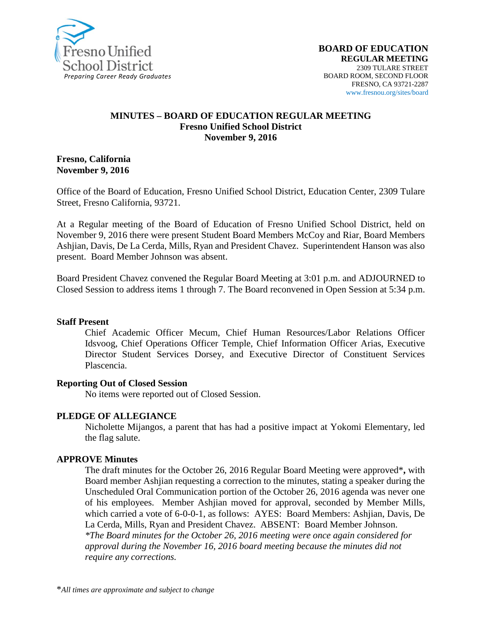

#### **MINUTES – BOARD OF EDUCATION REGULAR MEETING Fresno Unified School District November 9, 2016**

**Fresno, California November 9, 2016**

Office of the Board of Education, Fresno Unified School District, Education Center, 2309 Tulare Street, Fresno California, 93721.

At a Regular meeting of the Board of Education of Fresno Unified School District, held on November 9, 2016 there were present Student Board Members McCoy and Riar, Board Members Ashjian, Davis, De La Cerda, Mills, Ryan and President Chavez. Superintendent Hanson was also present. Board Member Johnson was absent.

Board President Chavez convened the Regular Board Meeting at 3:01 p.m. and ADJOURNED to Closed Session to address items 1 through 7. The Board reconvened in Open Session at 5:34 p.m.

#### **Staff Present**

Chief Academic Officer Mecum, Chief Human Resources/Labor Relations Officer Idsvoog, Chief Operations Officer Temple, Chief Information Officer Arias, Executive Director Student Services Dorsey, and Executive Director of Constituent Services Plascencia.

#### **Reporting Out of Closed Session**

No items were reported out of Closed Session.

#### **PLEDGE OF ALLEGIANCE**

Nicholette Mijangos, a parent that has had a positive impact at Yokomi Elementary, led the flag salute.

#### **APPROVE Minutes**

The draft minutes for the October 26, 2016 Regular Board Meeting were approved\***,** with Board member Ashjian requesting a correction to the minutes, stating a speaker during the Unscheduled Oral Communication portion of the October 26, 2016 agenda was never one of his employees. Member Ashjian moved for approval, seconded by Member Mills, which carried a vote of 6-0-0-1, as follows: AYES: Board Members: Ashjian, Davis, De La Cerda, Mills, Ryan and President Chavez. ABSENT: Board Member Johnson. *\*The Board minutes for the October 26, 2016 meeting were once again considered for approval during the November 16, 2016 board meeting because the minutes did not require any corrections.*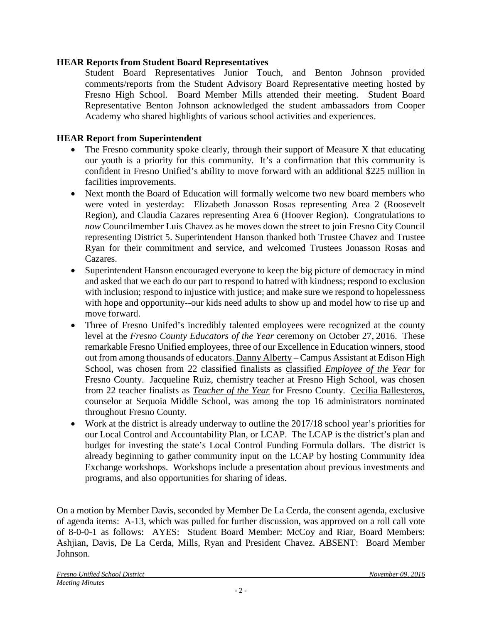## **HEAR Reports from Student Board Representatives**

Student Board Representatives Junior Touch, and Benton Johnson provided comments/reports from the Student Advisory Board Representative meeting hosted by Fresno High School. Board Member Mills attended their meeting. Student Board Representative Benton Johnson acknowledged the student ambassadors from Cooper Academy who shared highlights of various school activities and experiences.

# **HEAR Report from Superintendent**

- The Fresno community spoke clearly, through their support of Measure X that educating our youth is a priority for this community. It's a confirmation that this community is confident in Fresno Unified's ability to move forward with an additional \$225 million in facilities improvements.
- Next month the Board of Education will formally welcome two new board members who were voted in yesterday: Elizabeth Jonasson Rosas representing Area 2 (Roosevelt Region), and Claudia Cazares representing Area 6 (Hoover Region). Congratulations to *now* Councilmember Luis Chavez as he moves down the street to join Fresno City Council representing District 5. Superintendent Hanson thanked both Trustee Chavez and Trustee Ryan for their commitment and service, and welcomed Trustees Jonasson Rosas and Cazares.
- Superintendent Hanson encouraged everyone to keep the big picture of democracy in mind and asked that we each do our part to respond to hatred with kindness; respond to exclusion with inclusion; respond to injustice with justice; and make sure we respond to hopelessness with hope and opportunity--our kids need adults to show up and model how to rise up and move forward.
- Three of Fresno Unifed's incredibly talented employees were recognized at the county level at the *Fresno County Educators of the Year* ceremony on October 27, 2016. These remarkable Fresno Unified employees, three of our Excellence in Education winners, stood out from among thousands of educators. Danny Alberty – Campus Assistant at Edison High School, was chosen from 22 classified finalists as classified *Employee of the Year* for Fresno County. Jacqueline Ruiz, chemistry teacher at Fresno High School, was chosen from 22 teacher finalists as *Teacher of the Year* for Fresno County. Cecilia Ballesteros, counselor at Sequoia Middle School, was among the top 16 administrators nominated throughout Fresno County.
- Work at the district is already underway to outline the 2017/18 school year's priorities for our Local Control and Accountability Plan, or LCAP. The LCAP is the district's plan and budget for investing the state's Local Control Funding Formula dollars. The district is already beginning to gather community input on the LCAP by hosting Community Idea Exchange workshops. Workshops include a presentation about previous investments and programs, and also opportunities for sharing of ideas.

On a motion by Member Davis, seconded by Member De La Cerda, the consent agenda, exclusive of agenda items: A-13, which was pulled for further discussion, was approved on a roll call vote of 8-0-0-1 as follows: AYES: Student Board Member: McCoy and Riar, Board Members: Ashjian, Davis, De La Cerda, Mills, Ryan and President Chavez. ABSENT: Board Member Johnson.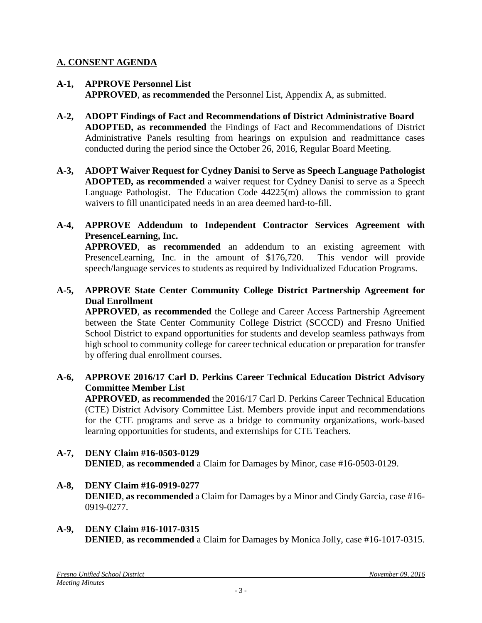## **A. CONSENT AGENDA**

- **A-1, APPROVE Personnel List APPROVED**, **as recommended** the Personnel List, Appendix A, as submitted.
- **A-2, ADOPT Findings of Fact and Recommendations of District Administrative Board ADOPTED, as recommended** the Findings of Fact and Recommendations of District Administrative Panels resulting from hearings on expulsion and readmittance cases conducted during the period since the October 26, 2016, Regular Board Meeting.
- **A-3, ADOPT Waiver Request for Cydney Danisi to Serve as Speech Language Pathologist ADOPTED, as recommended** a waiver request for Cydney Danisi to serve as a Speech Language Pathologist. The Education Code 44225(m) allows the commission to grant waivers to fill unanticipated needs in an area deemed hard-to-fill.
- **A-4, APPROVE Addendum to Independent Contractor Services Agreement with PresenceLearning, Inc.**

**APPROVED**, **as recommended** an addendum to an existing agreement with PresenceLearning, Inc. in the amount of \$176,720. This vendor will provide speech/language services to students as required by Individualized Education Programs.

**A-5, APPROVE State Center Community College District Partnership Agreement for Dual Enrollment**

**APPROVED**, **as recommended** the College and Career Access Partnership Agreement between the State Center Community College District (SCCCD) and Fresno Unified School District to expand opportunities for students and develop seamless pathways from high school to community college for career technical education or preparation for transfer by offering dual enrollment courses.

**A-6, APPROVE 2016/17 Carl D. Perkins Career Technical Education District Advisory Committee Member List**

**APPROVED**, **as recommended** the 2016/17 Carl D. Perkins Career Technical Education (CTE) District Advisory Committee List. Members provide input and recommendations for the CTE programs and serve as a bridge to community organizations, work-based learning opportunities for students, and externships for CTE Teachers.

- **A-7, DENY Claim #16-0503-0129 DENIED**, **as recommended** a Claim for Damages by Minor, case #16-0503-0129.
- **A-8, DENY Claim #16-0919-0277 DENIED**, **as recommended** a Claim for Damages by a Minor and Cindy Garcia, case #16- 0919-0277.
- **A-9, DENY Claim #16-1017-0315 DENIED**, **as recommended** a Claim for Damages by Monica Jolly, case #16-1017-0315.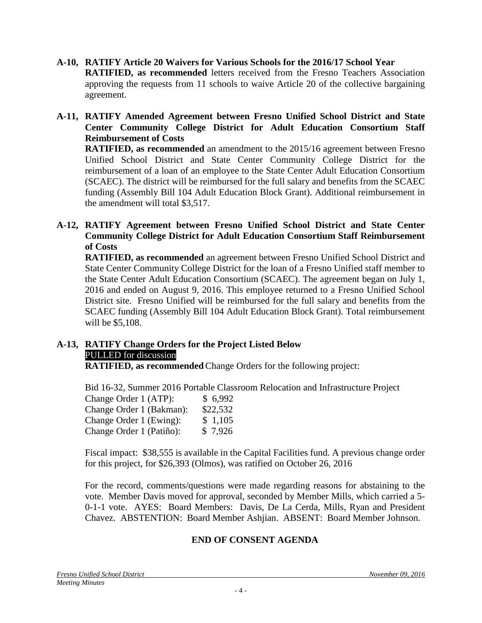- **A-10, RATIFY Article 20 Waivers for Various Schools for the 2016/17 School Year RATIFIED, as recommended** letters received from the Fresno Teachers Association approving the requests from 11 schools to waive Article 20 of the collective bargaining agreement.
- **A-11, RATIFY Amended Agreement between Fresno Unified School District and State Center Community College District for Adult Education Consortium Staff Reimbursement of Costs**

**RATIFIED, as recommended** an amendment to the 2015/16 agreement between Fresno Unified School District and State Center Community College District for the reimbursement of a loan of an employee to the State Center Adult Education Consortium (SCAEC). The district will be reimbursed for the full salary and benefits from the SCAEC funding (Assembly Bill 104 Adult Education Block Grant). Additional reimbursement in the amendment will total \$3,517.

**A-12, RATIFY Agreement between Fresno Unified School District and State Center Community College District for Adult Education Consortium Staff Reimbursement of Costs**

**RATIFIED, as recommended** an agreement between Fresno Unified School District and State Center Community College District for the loan of a Fresno Unified staff member to the State Center Adult Education Consortium (SCAEC). The agreement began on July 1, 2016 and ended on August 9, 2016. This employee returned to a Fresno Unified School District site.Fresno Unified will be reimbursed for the full salary and benefits from the SCAEC funding (Assembly Bill 104 Adult Education Block Grant). Total reimbursement will be \$5,108.

# **A-13, RATIFY Change Orders for the Project Listed Below** PULLED for discussion

**RATIFIED, as recommended**Change Orders for the following project:

Bid 16-32, Summer 2016 Portable Classroom Relocation and Infrastructure Project

| Change Order 1 (ATP):    | \$6,992  |
|--------------------------|----------|
| Change Order 1 (Bakman): | \$22,532 |
| Change Order 1 (Ewing):  | \$1,105  |
| Change Order 1 (Patiño): | \$7,926  |

Fiscal impact: \$38,555 is available in the Capital Facilities fund. A previous change order for this project, for \$26,393 (Olmos), was ratified on October 26, 2016

For the record, comments/questions were made regarding reasons for abstaining to the vote. Member Davis moved for approval, seconded by Member Mills, which carried a 5- 0-1-1 vote. AYES: Board Members: Davis, De La Cerda, Mills, Ryan and President Chavez. ABSTENTION: Board Member Ashjian. ABSENT: Board Member Johnson.

# **END OF CONSENT AGENDA**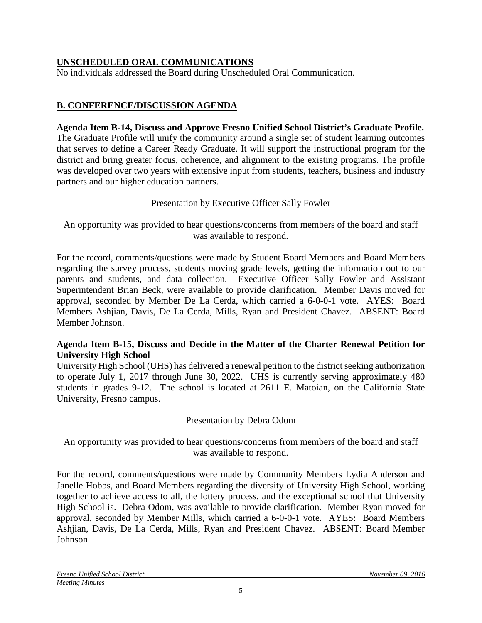# **UNSCHEDULED ORAL COMMUNICATIONS**

No individuals addressed the Board during Unscheduled Oral Communication.

# **B. CONFERENCE/DISCUSSION AGENDA**

## **Agenda Item B-14, Discuss and Approve Fresno Unified School District's Graduate Profile.**

The Graduate Profile will unify the community around a single set of student learning outcomes that serves to define a Career Ready Graduate. It will support the instructional program for the district and bring greater focus, coherence, and alignment to the existing programs. The profile was developed over two years with extensive input from students, teachers, business and industry partners and our higher education partners.

## Presentation by Executive Officer Sally Fowler

An opportunity was provided to hear questions/concerns from members of the board and staff was available to respond.

For the record, comments/questions were made by Student Board Members and Board Members regarding the survey process, students moving grade levels, getting the information out to our parents and students, and data collection. Executive Officer Sally Fowler and Assistant Superintendent Brian Beck, were available to provide clarification. Member Davis moved for approval, seconded by Member De La Cerda, which carried a 6-0-0-1 vote. AYES: Board Members Ashjian, Davis, De La Cerda, Mills, Ryan and President Chavez. ABSENT: Board Member Johnson.

## **Agenda Item B-15, Discuss and Decide in the Matter of the Charter Renewal Petition for University High School**

University High School (UHS) has delivered a renewal petition to the district seeking authorization to operate July 1, 2017 through June 30, 2022. UHS is currently serving approximately 480 students in grades 9-12. The school is located at 2611 E. Matoian, on the California State University, Fresno campus.

## Presentation by Debra Odom

An opportunity was provided to hear questions/concerns from members of the board and staff was available to respond.

For the record, comments/questions were made by Community Members Lydia Anderson and Janelle Hobbs, and Board Members regarding the diversity of University High School, working together to achieve access to all, the lottery process, and the exceptional school that University High School is. Debra Odom, was available to provide clarification. Member Ryan moved for approval, seconded by Member Mills, which carried a 6-0-0-1 vote. AYES: Board Members Ashjian, Davis, De La Cerda, Mills, Ryan and President Chavez. ABSENT: Board Member Johnson.